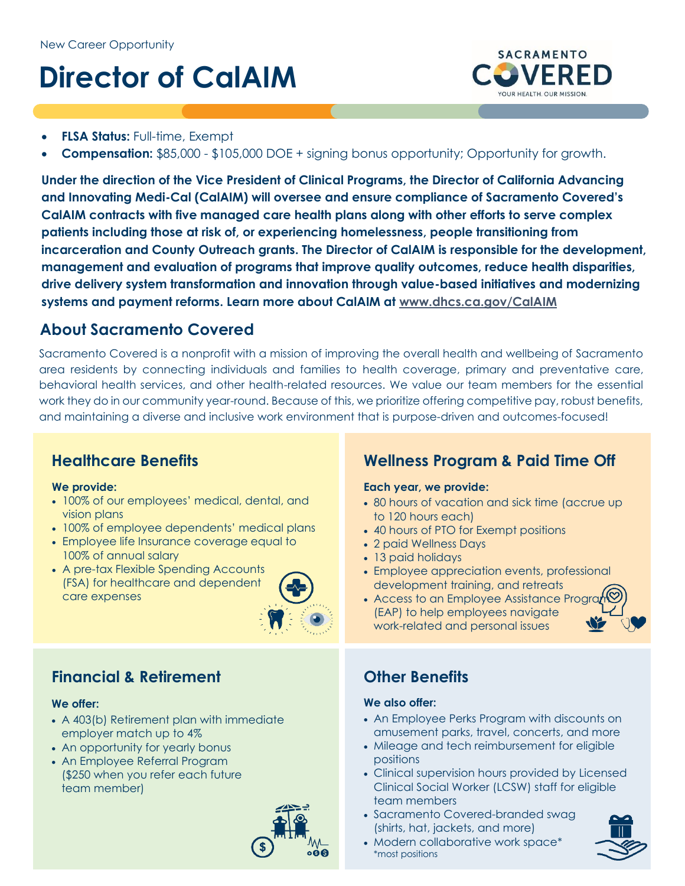# **Director of CalAIM**



- **FLSA Status:** Full-time, Exempt
- **Compensation:** \$85,000 \$105,000 DOE + signing bonus opportunity; Opportunity for growth.

**Under the direction of the Vice President of Clinical Programs, the Director of California Advancing and Innovating Medi-Cal (CalAIM) will oversee and ensure compliance of Sacramento Covered's CalAIM contracts with five managed care health plans along with other efforts to serve complex patients including those at risk of, or experiencing homelessness, people transitioning from incarceration and County Outreach grants. The Director of CalAIM is responsible for the development, management and evaluation of programs that improve quality outcomes, reduce health disparities, drive delivery system transformation and innovation through value-based initiatives and modernizing systems and payment reforms. Learn more about CalAIM at [www.dhcs.ca.gov/CalAIM](http://www.dhcs.ca.gov/CalAIM)**

## **About Sacramento Covered**

Sacramento Covered is a nonprofit with a mission of improving the overall health and wellbeing of Sacramento area residents by connecting individuals and families to health coverage, primary and preventative care, behavioral health services, and other health-related resources. We value our team members for the essential work they do in our community year-round. Because of this, we prioritize offering competitive pay, robust benefits, and maintaining a diverse and inclusive work environment that is purpose-driven and outcomes-focused!

## **Healthcare Benefits**

#### **We provide:**

- 100% of our employees' medical, dental, and vision plans
- 100% of employee dependents' medical plans
- Employee life Insurance coverage equal to 100% of annual salary
- A pre-tax Flexible Spending Accounts (FSA) for healthcare and dependent care expenses



## **Financial & Retirement**

#### **We offer:**

- A 403(b) Retirement plan with immediate employer match up to 4%
- An opportunity for yearly bonus
- An Employee Referral Program (\$250 when you refer each future team member)



## **Wellness Program & Paid Time Off**

#### **Each year, we provide:**

- 80 hours of vacation and sick time (accrue up to 120 hours each)
- 40 hours of PTO for Exempt positions
- 2 paid Wellness Days
- 13 paid holidays
- Employee appreciation events, professional development training, and retreats
- Access to an Employee Assistance Progr (EAP) to help employees navigate work-related and personal issues



## **Other Benefits**

#### **We also offer:**

- An Employee Perks Program with discounts on amusement parks, travel, concerts, and more
- Mileage and tech reimbursement for eligible positions
- Clinical supervision hours provided by Licensed Clinical Social Worker (LCSW) staff for eligible team members
- Sacramento Covered-branded swag (shirts, hat, jackets, and more)
- Modern collaborative work space\* \*most positions

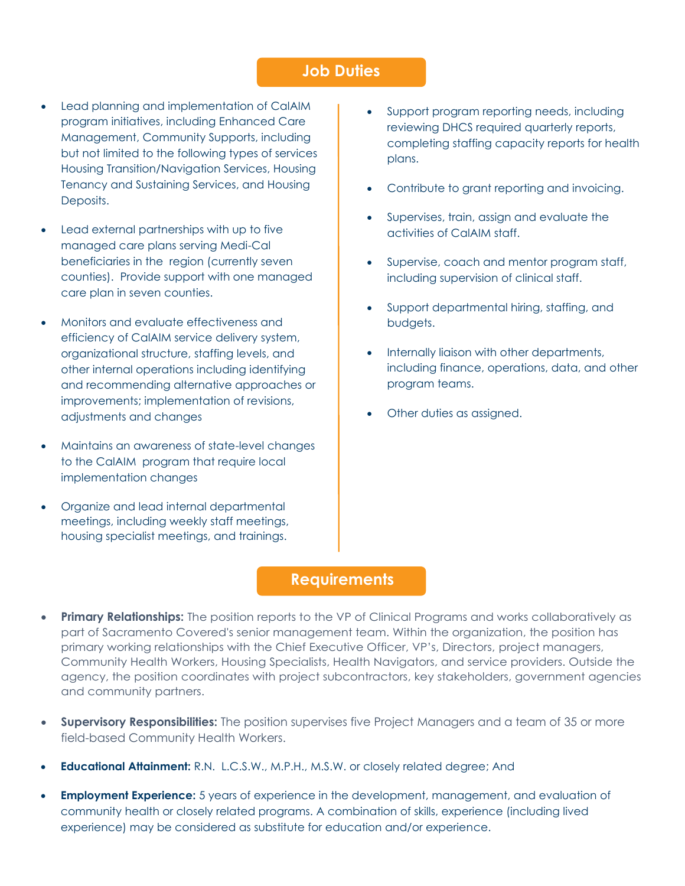#### **Job Duties**

- Lead planning and implementation of CalAIM program initiatives, including Enhanced Care Management, Community Supports, including but not limited to the following types of services Housing Transition/Navigation Services, Housing Tenancy and Sustaining Services, and Housing Deposits.
- Lead external partnerships with up to five managed care plans serving Medi-Cal beneficiaries in the region (currently seven counties). Provide support with one managed care plan in seven counties.
- Monitors and evaluate effectiveness and efficiency of CalAIM service delivery system, organizational structure, staffing levels, and other internal operations including identifying and recommending alternative approaches or improvements; implementation of revisions, adjustments and changes
- Maintains an awareness of state-level changes to the CalAIM program that require local implementation changes
- Organize and lead internal departmental meetings, including weekly staff meetings, housing specialist meetings, and trainings.
- Support program reporting needs, including reviewing DHCS required quarterly reports, completing staffing capacity reports for health plans.
- Contribute to grant reporting and invoicing.
- Supervises, train, assign and evaluate the activities of CalAIM staff.
- Supervise, coach and mentor program staff, including supervision of clinical staff.
- Support departmental hiring, staffing, and budgets.
- Internally liaison with other departments, including finance, operations, data, and other program teams.
- Other duties as assigned.

### **Requirements**

- **Primary Relationships:** The position reports to the VP of Clinical Programs and works collaboratively as part of Sacramento Covered's senior management team. Within the organization, the position has primary working relationships with the Chief Executive Officer, VP's, Directors, project managers, Community Health Workers, Housing Specialists, Health Navigators, and service providers. Outside the agency, the position coordinates with project subcontractors, key stakeholders, government agencies and community partners.
- **Supervisory Responsibilities:** The position supervises five Project Managers and a team of 35 or more field-based Community Health Workers.
- **Educational Attainment:** R.N. L.C.S.W., M.P.H., M.S.W. or closely related degree; And
- **Employment Experience:** 5 years of experience in the development, management, and evaluation of community health or closely related programs. A combination of skills, experience (including lived experience) may be considered as substitute for education and/or experience.